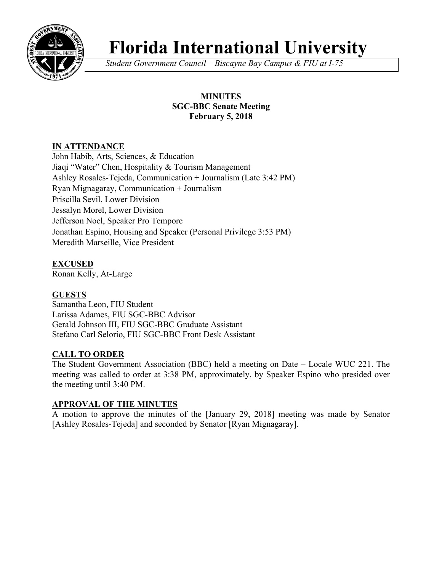

# **Florida International University**

*Student Government Council – Biscayne Bay Campus & FIU at I-75*

## **MINUTES SGC-BBC Senate Meeting February 5, 2018**

# **IN ATTENDANCE**

John Habib, Arts, Sciences, & Education Jiaqi "Water" Chen, Hospitality & Tourism Management Ashley Rosales-Tejeda, Communication + Journalism (Late 3:42 PM) Ryan Mignagaray, Communication + Journalism Priscilla Sevil, Lower Division Jessalyn Morel, Lower Division Jefferson Noel, Speaker Pro Tempore Jonathan Espino, Housing and Speaker (Personal Privilege 3:53 PM) Meredith Marseille, Vice President

# **EXCUSED**

Ronan Kelly, At-Large

## **GUESTS**

Samantha Leon, FIU Student Larissa Adames, FIU SGC-BBC Advisor Gerald Johnson III, FIU SGC-BBC Graduate Assistant Stefano Carl Selorio, FIU SGC-BBC Front Desk Assistant

## **CALL TO ORDER**

The Student Government Association (BBC) held a meeting on Date – Locale WUC 221. The meeting was called to order at 3:38 PM, approximately, by Speaker Espino who presided over the meeting until 3:40 PM.

### **APPROVAL OF THE MINUTES**

A motion to approve the minutes of the [January 29, 2018] meeting was made by Senator [Ashley Rosales-Tejeda] and seconded by Senator [Ryan Mignagaray].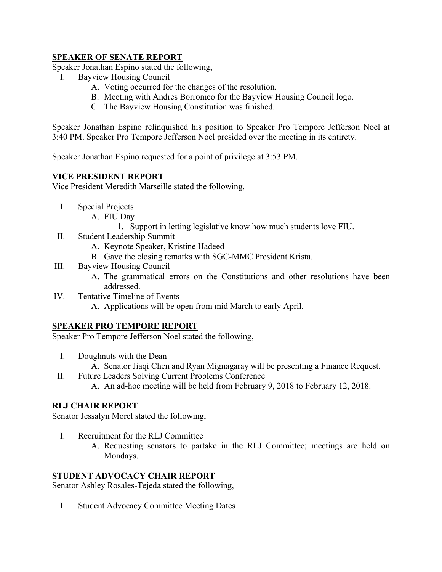### **SPEAKER OF SENATE REPORT**

Speaker Jonathan Espino stated the following,

- I. Bayview Housing Council
	- A. Voting occurred for the changes of the resolution.
	- B. Meeting with Andres Borromeo for the Bayview Housing Council logo.
	- C. The Bayview Housing Constitution was finished.

Speaker Jonathan Espino relinquished his position to Speaker Pro Tempore Jefferson Noel at 3:40 PM. Speaker Pro Tempore Jefferson Noel presided over the meeting in its entirety.

Speaker Jonathan Espino requested for a point of privilege at 3:53 PM.

## **VICE PRESIDENT REPORT**

Vice President Meredith Marseille stated the following,

- I. Special Projects
	- A. FIU Day
		- 1. Support in letting legislative know how much students love FIU.
- II. Student Leadership Summit
	- A. Keynote Speaker, Kristine Hadeed
	- B. Gave the closing remarks with SGC-MMC President Krista.
- III. Bayview Housing Council
	- A. The grammatical errors on the Constitutions and other resolutions have been addressed.
- IV. Tentative Timeline of Events
	- A. Applications will be open from mid March to early April.

### **SPEAKER PRO TEMPORE REPORT**

Speaker Pro Tempore Jefferson Noel stated the following,

- I. Doughnuts with the Dean
	- A. Senator Jiaqi Chen and Ryan Mignagaray will be presenting a Finance Request.
- II. Future Leaders Solving Current Problems Conference
	- A. An ad-hoc meeting will be held from February 9, 2018 to February 12, 2018.

### **RLJ CHAIR REPORT**

Senator Jessalyn Morel stated the following,

- I. Recruitment for the RLJ Committee
	- A. Requesting senators to partake in the RLJ Committee; meetings are held on Mondays.

### **STUDENT ADVOCACY CHAIR REPORT**

Senator Ashley Rosales-Tejeda stated the following,

I. Student Advocacy Committee Meeting Dates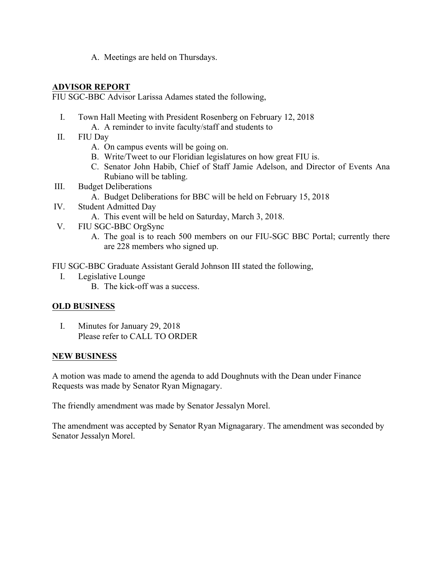A. Meetings are held on Thursdays.

#### **ADVISOR REPORT**

FIU SGC-BBC Advisor Larissa Adames stated the following,

- I. Town Hall Meeting with President Rosenberg on February 12, 2018
	- A. A reminder to invite faculty/staff and students to
- II. FIU Day
	- A. On campus events will be going on.
	- B. Write/Tweet to our Floridian legislatures on how great FIU is.
	- C. Senator John Habib, Chief of Staff Jamie Adelson, and Director of Events Ana Rubiano will be tabling.
- III. Budget Deliberations
	- A. Budget Deliberations for BBC will be held on February 15, 2018
- IV. Student Admitted Day
	- A. This event will be held on Saturday, March 3, 2018.
- V. FIU SGC-BBC OrgSync
	- A. The goal is to reach 500 members on our FIU-SGC BBC Portal; currently there are 228 members who signed up.

FIU SGC-BBC Graduate Assistant Gerald Johnson III stated the following,

- I. Legislative Lounge
	- B. The kick-off was a success.

### **OLD BUSINESS**

I. Minutes for January 29, 2018 Please refer to CALL TO ORDER

#### **NEW BUSINESS**

A motion was made to amend the agenda to add Doughnuts with the Dean under Finance Requests was made by Senator Ryan Mignagary.

The friendly amendment was made by Senator Jessalyn Morel.

The amendment was accepted by Senator Ryan Mignagarary. The amendment was seconded by Senator Jessalyn Morel.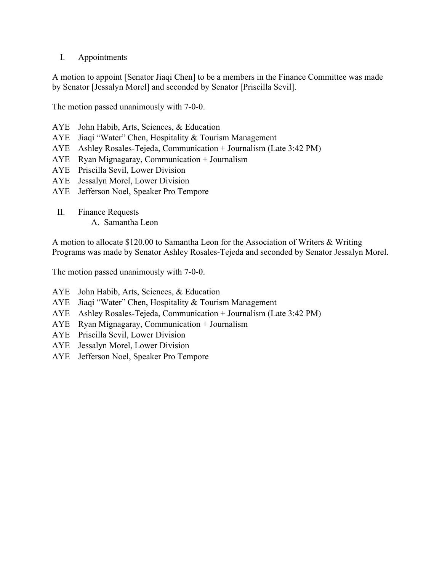### I. Appointments

A motion to appoint [Senator Jiaqi Chen] to be a members in the Finance Committee was made by Senator [Jessalyn Morel] and seconded by Senator [Priscilla Sevil].

The motion passed unanimously with 7-0-0.

- AYE John Habib, Arts, Sciences, & Education
- AYE Jiaqi "Water" Chen, Hospitality & Tourism Management
- AYE Ashley Rosales-Tejeda, Communication + Journalism (Late 3:42 PM)
- AYE Ryan Mignagaray, Communication + Journalism
- AYE Priscilla Sevil, Lower Division
- AYE Jessalyn Morel, Lower Division
- AYE Jefferson Noel, Speaker Pro Tempore
- II. Finance Requests A. Samantha Leon

A motion to allocate \$120.00 to Samantha Leon for the Association of Writers & Writing Programs was made by Senator Ashley Rosales-Tejeda and seconded by Senator Jessalyn Morel.

The motion passed unanimously with 7-0-0.

- AYE John Habib, Arts, Sciences, & Education
- AYE Jiaqi "Water" Chen, Hospitality & Tourism Management
- AYE Ashley Rosales-Tejeda, Communication + Journalism (Late 3:42 PM)
- AYE Ryan Mignagaray, Communication + Journalism
- AYE Priscilla Sevil, Lower Division
- AYE Jessalyn Morel, Lower Division
- AYE Jefferson Noel, Speaker Pro Tempore